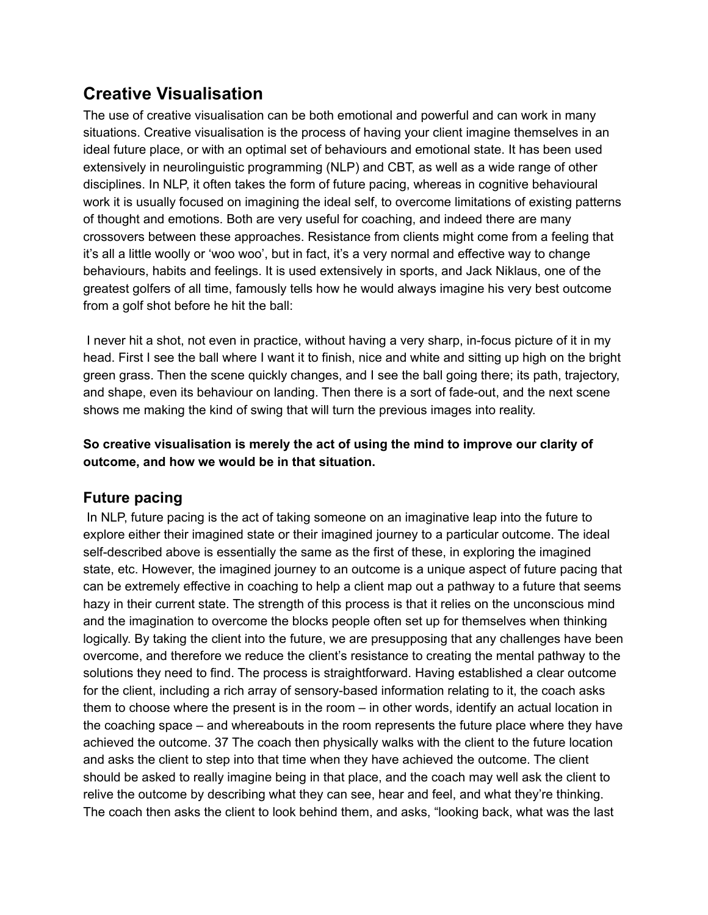## **Creative Visualisation**

The use of creative visualisation can be both emotional and powerful and can work in many situations. Creative visualisation is the process of having your client imagine themselves in an ideal future place, or with an optimal set of behaviours and emotional state. It has been used extensively in neurolinguistic programming (NLP) and CBT, as well as a wide range of other disciplines. In NLP, it often takes the form of future pacing, whereas in cognitive behavioural work it is usually focused on imagining the ideal self, to overcome limitations of existing patterns of thought and emotions. Both are very useful for coaching, and indeed there are many crossovers between these approaches. Resistance from clients might come from a feeling that it's all a little woolly or 'woo woo', but in fact, it's a very normal and effective way to change behaviours, habits and feelings. It is used extensively in sports, and Jack Niklaus, one of the greatest golfers of all time, famously tells how he would always imagine his very best outcome from a golf shot before he hit the ball:

I never hit a shot, not even in practice, without having a very sharp, in-focus picture of it in my head. First I see the ball where I want it to finish, nice and white and sitting up high on the bright green grass. Then the scene quickly changes, and I see the ball going there; its path, trajectory, and shape, even its behaviour on landing. Then there is a sort of fade-out, and the next scene shows me making the kind of swing that will turn the previous images into reality.

## **So creative visualisation is merely the act of using the mind to improve our clarity of outcome, and how we would be in that situation.**

## **Future pacing**

In NLP, future pacing is the act of taking someone on an imaginative leap into the future to explore either their imagined state or their imagined journey to a particular outcome. The ideal self-described above is essentially the same as the first of these, in exploring the imagined state, etc. However, the imagined journey to an outcome is a unique aspect of future pacing that can be extremely effective in coaching to help a client map out a pathway to a future that seems hazy in their current state. The strength of this process is that it relies on the unconscious mind and the imagination to overcome the blocks people often set up for themselves when thinking logically. By taking the client into the future, we are presupposing that any challenges have been overcome, and therefore we reduce the client's resistance to creating the mental pathway to the solutions they need to find. The process is straightforward. Having established a clear outcome for the client, including a rich array of sensory-based information relating to it, the coach asks them to choose where the present is in the room – in other words, identify an actual location in the coaching space – and whereabouts in the room represents the future place where they have achieved the outcome. 37 The coach then physically walks with the client to the future location and asks the client to step into that time when they have achieved the outcome. The client should be asked to really imagine being in that place, and the coach may well ask the client to relive the outcome by describing what they can see, hear and feel, and what they're thinking. The coach then asks the client to look behind them, and asks, "looking back, what was the last